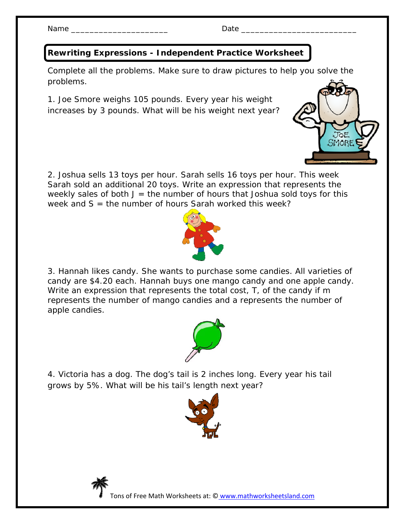Name \_\_\_\_\_\_\_\_\_\_\_\_\_\_\_\_\_\_\_\_\_ Date \_\_\_\_\_\_\_\_\_\_\_\_\_\_\_\_\_\_\_\_\_\_\_\_\_

## **Rewriting Expressions - Independent Practice Worksheet**

Complete all the problems. Make sure to draw pictures to help you solve the problems.

1. Joe Smore weighs 105 pounds. Every year his weight increases by 3 pounds. What will be his weight next year?



2. Joshua sells 13 toys per hour. Sarah sells 16 toys per hour. This week Sarah sold an additional 20 toys. Write an expression that represents the weekly sales of both  $J =$  the number of hours that Joshua sold toys for this week and  $S =$  the number of hours Sarah worked this week?



3. Hannah likes candy. She wants to purchase some candies. All varieties of candy are \$4.20 each. Hannah buys one mango candy and one apple candy. Write an expression that represents the total cost, T, of the candy if *m*  represents the number of mango candies and *a* represents the number of apple candies.



4. Victoria has a dog. The dog's tail is 2 inches long. Every year his tail grows by 5%. What will be his tail's length next year?





Tons of Free Math Worksheets at: © www.mathworksheetsland.com